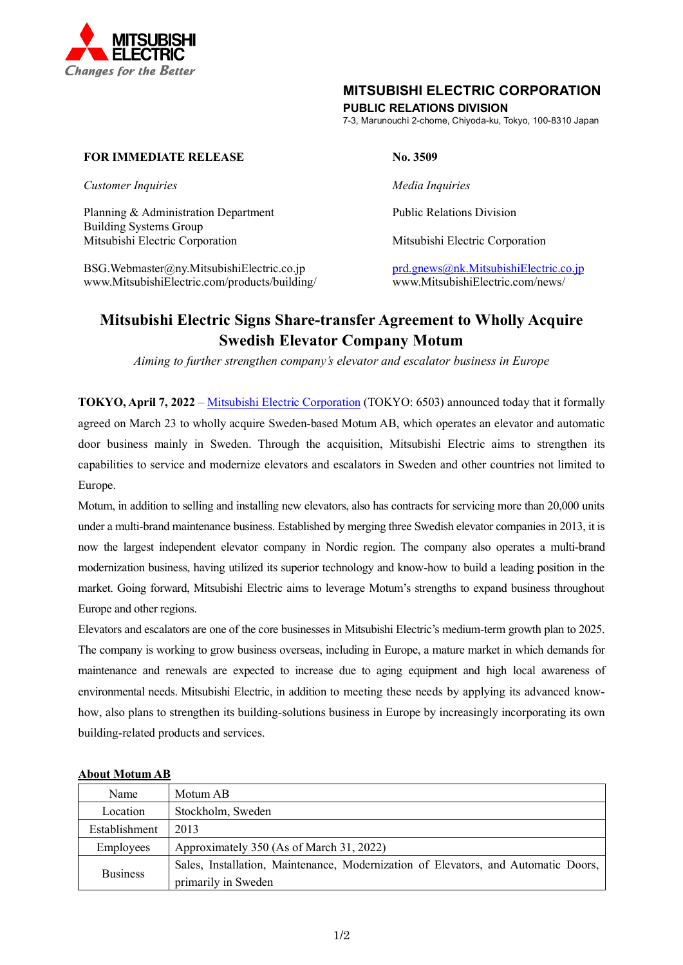

# **MITSUBISHI ELECTRIC CORPORATION**

**PUBLIC RELATIONS DIVISION**

7-3, Marunouchi 2-chome, Chiyoda-ku, Tokyo, 100-8310 Japan

## **FOR IMMEDIATE RELEASE No. 3509**

*Customer Inquiries Media Inquiries*

Planning & Administration Department Public Relations Division Building Systems Group Mitsubishi Electric Corporation Mitsubishi Electric Corporation

BSG.Webmaster@ny.MitsubishiElectric.co.jp<br>www.MitsubishiElectric.com/products/building/ products/building/ www.MitsubishiElectric.com/news/ www.MitsubishiElectric.com/products/building/

# **Mitsubishi Electric Signs Share-transfer Agreement to Wholly Acquire Swedish Elevator Company Motum**

*Aiming to further strengthen company's elevator and escalator business in Europe*

**TOKYO, April 7, 2022** – [Mitsubishi Electric Corporation](https://www.mitsubishielectric.com/) (TOKYO: 6503) announced today that it formally agreed on March 23 to wholly acquire Sweden-based Motum AB, which operates an elevator and automatic door business mainly in Sweden. Through the acquisition, Mitsubishi Electric aims to strengthen its capabilities to service and modernize elevators and escalators in Sweden and other countries not limited to Europe.

Motum, in addition to selling and installing new elevators, also has contracts for servicing more than 20,000 units under a multi-brand maintenance business. Established by merging three Swedish elevator companies in 2013, it is now the largest independent elevator company in Nordic region. The company also operates a multi-brand modernization business, having utilized its superior technology and know-how to build a leading position in the market. Going forward, Mitsubishi Electric aims to leverage Motum's strengths to expand business throughout Europe and other regions.

Elevators and escalators are one of the core businesses in Mitsubishi Electric's medium-term growth plan to 2025. The company is working to grow business overseas, including in Europe, a mature market in which demands for maintenance and renewals are expected to increase due to aging equipment and high local awareness of environmental needs. Mitsubishi Electric, in addition to meeting these needs by applying its advanced knowhow, also plans to strengthen its building-solutions business in Europe by increasingly incorporating its own building-related products and services.

| Name            | Motum AB                                                                           |
|-----------------|------------------------------------------------------------------------------------|
| Location        | Stockholm, Sweden                                                                  |
| Establishment   | 2013                                                                               |
| Employees       | Approximately 350 (As of March 31, 2022)                                           |
| <b>Business</b> | Sales, Installation, Maintenance, Modernization of Elevators, and Automatic Doors, |
|                 | primarily in Sweden                                                                |

## **About Motum AB**